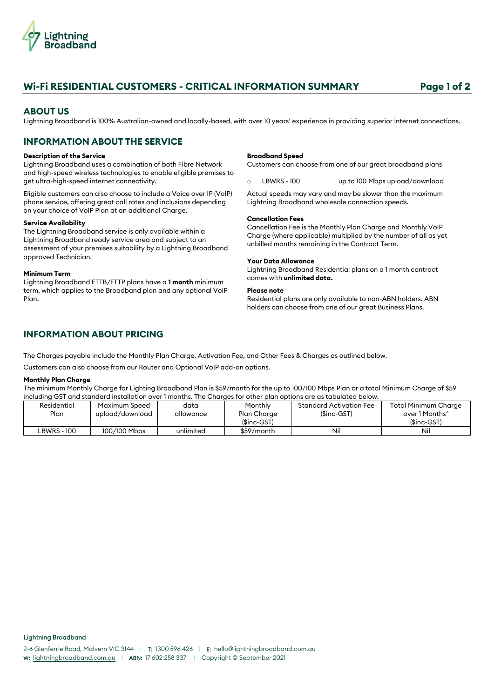

# **Wi-Fi RESIDENTIAL CUSTOMERS - CRITICAL INFORMATION SUMMARY Page 1 of 2**

# **ABOUT US**

Lightning Broadband is 100% Australian-owned and locally-based, with over 10 years' experience in providing superior internet connections.

# **INFORMATION ABOUT THE SERVICE**

#### **Description of the Service**

Lightning Broadband uses a combination of both Fibre Network and high-speed wireless technologies to enable eligible premises to get ultra-high-speed internet connectivity.

Eligible customers can also choose to include a Voice over IP (VoIP) phone service, offering great call rates and inclusions depending on your choice of VoIP Plan at an additional Charge.

## **Service Availability**

The Lightning Broadband service is only available within a Lightning Broadband ready service area and subject to an assessment of your premises suitability by a Lightning Broadband approved Technician.

#### **Minimum Term**

Lightning Broadband FTTB/FTTP plans have a **1 month** minimum term, which applies to the Broadband plan and any optional VoIP Plan.

#### **Broadband Speed**

Customers can choose from one of our great broadband plans

o LBWRS - 100 up to 100 Mbps upload/download

Actual speeds may vary and may be slower than the maximum Lightning Broadband wholesale connection speeds.

### **Cancellation Fees**

Cancellation Fee is the Monthly Plan Charge and Monthly VoIP Charge (where applicable) multiplied by the number of all as yet unbilled months remaining in the Contract Term.

## **Your Data Allowance**

Lightning Broadband Residential plans on a 1 month contract comes with **unlimited data.**

## **Please note**

Residential plans are only available to non-ABN holders. ABN holders can choose from one of our great Business Plans.

# **INFORMATION ABOUT PRICING**

The Charges payable include the Monthly Plan Charge, Activation Fee, and Other Fees & Charges as outlined below.

Customers can also choose from our Router and Optional VoIP add-on options.

## **Monthly Plan Charge**

The minimum Monthly Charge for Lighting Broadband Plan is \$59/month for the up to 100/100 Mbps Plan or a total Minimum Charge of \$59 including GST and standard installation over 1 months. The Charges for other plan options are as tabulated below.

| Residential | Maximum Speed   | data      | Monthly      | Standard Activation Fee | Total Minimum Charge |
|-------------|-----------------|-----------|--------------|-------------------------|----------------------|
| Plan        | upload/download | allowance | Plan Charge  | $(Sinc-GST)$            | over 1 Months^       |
|             |                 |           | $(Sinc-GST)$ |                         | $(Sinc-GST)$         |
| ∟BWRS - 100 | 100/100 Mbps    | unlimited | \$59/month   | Nil                     | Nil                  |